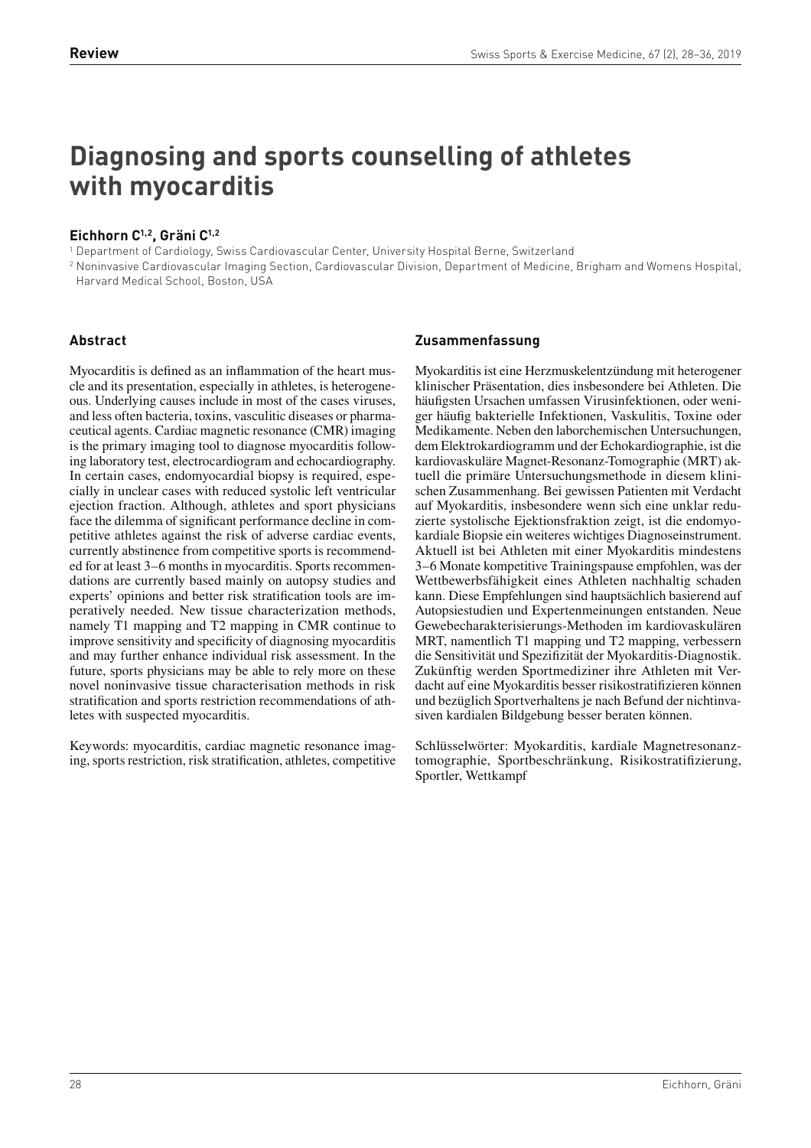# **Diagnosing and sports counselling of athletes with myocarditis**

# **Eichhorn C1,2, Gräni C1,2**

1 Department of Cardiology, Swiss Cardiovascular Center, University Hospital Berne, Switzerland

2 Noninvasive Cardiovascular Imaging Section, Cardiovascular Division, Department of Medicine, Brigham and Womens Hospital, Harvard Medical School, Boston, USA

# **Abstract**

Myocarditis is defined as an inflammation of the heart muscle and its presentation, especially in athletes, is heterogeneous. Underlying causes include in most of the cases viruses, and less often bacteria, toxins, vasculitic diseases or pharmaceutical agents. Cardiac magnetic resonance (CMR) imaging is the primary imaging tool to diagnose myocarditis following laboratory test, electrocardiogram and echocardiography. In certain cases, endomyocardial biopsy is required, especially in unclear cases with reduced systolic left ventricular ejection fraction. Although, athletes and sport physicians face the dilemma of significant performance decline in competitive athletes against the risk of adverse cardiac events, currently abstinence from competitive sports is recommended for at least 3–6 months in myocarditis. Sports recommendations are currently based mainly on autopsy studies and experts' opinions and better risk stratification tools are imperatively needed. New tissue characterization methods, namely T1 mapping and T2 mapping in CMR continue to improve sensitivity and specificity of diagnosing myocarditis and may further enhance individual risk assessment. In the future, sports physicians may be able to rely more on these novel noninvasive tissue characterisation methods in risk stratification and sports restriction recommendations of athletes with suspected myocarditis.

Keywords: myocarditis, cardiac magnetic resonance imaging, sports restriction, risk stratification, athletes, competitive

# **Zusammenfassung**

Myokarditis ist eine Herzmuskelentzündung mit heterogener klinischer Präsentation, dies insbesondere bei Athleten. Die häufigsten Ursachen umfassen Virusinfektionen, oder weniger häufig bakterielle Infektionen, Vaskulitis, Toxine oder Medikamente. Neben den laborchemischen Untersuchungen, dem Elektrokardiogramm und der Echokardiographie, ist die kardiovaskuläre Magnet-Resonanz-Tomographie (MRT) aktuell die primäre Untersuchungsmethode in diesem klinischen Zusammenhang. Bei gewissen Patienten mit Verdacht auf Myokarditis, insbesondere wenn sich eine unklar reduzierte systolische Ejektionsfraktion zeigt, ist die endomyokardiale Biopsie ein weiteres wichtiges Diagnoseinstrument. Aktuell ist bei Athleten mit einer Myokarditis mindestens 3–6 Monate kompetitive Trainingspause empfohlen, was der Wettbewerbsfähigkeit eines Athleten nachhaltig schaden kann. Diese Empfehlungen sind hauptsächlich basierend auf Autopsiestudien und Expertenmeinungen entstanden. Neue Gewebecharakterisierungs-Methoden im kardiovaskulären MRT, namentlich T1 mapping und T2 mapping, verbessern die Sensitivität und Spezifizität der Myokarditis-Diagnostik. Zukünftig werden Sportmediziner ihre Athleten mit Verdacht auf eine Myokarditis besser risikostratizieren können und bezüglich Sportverhaltens je nach Befund der nichtinvasiven kardialen Bildgebung besser beraten können.

Schlüsselwörter: Myokarditis, kardiale Magnetresonanztomographie, Sportbeschränkung, Risikostratizierung, Sportler, Wettkampf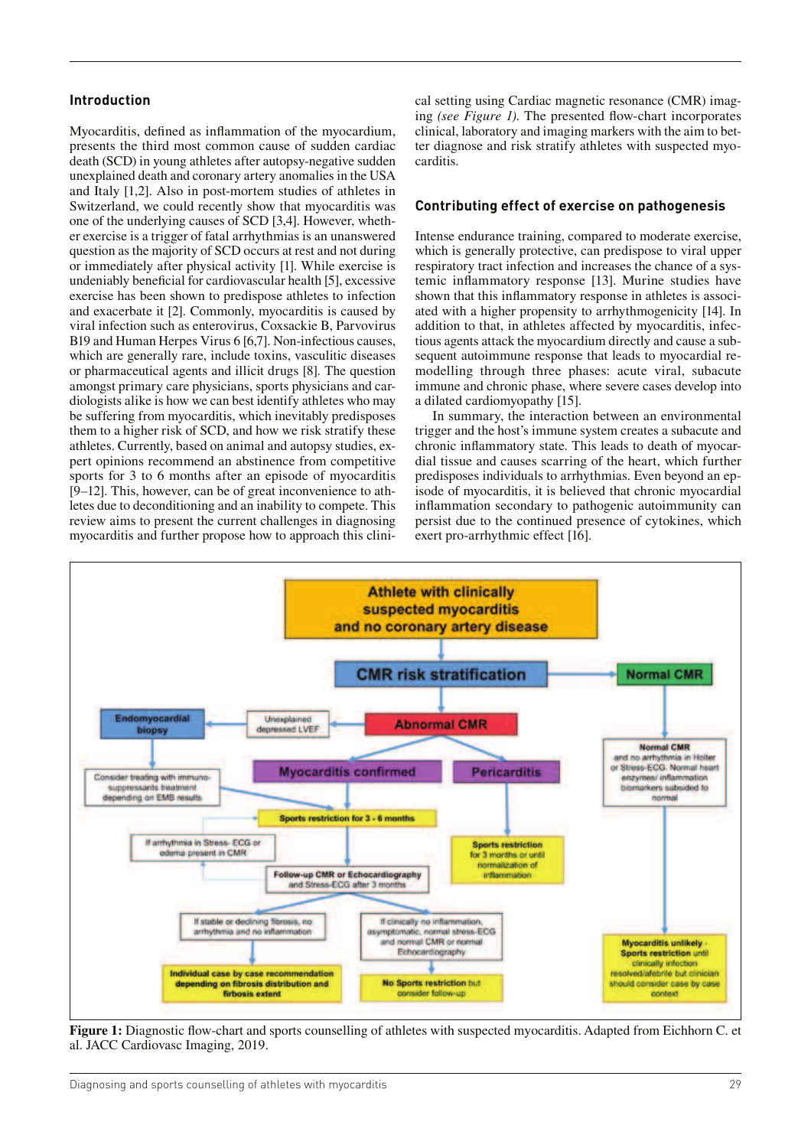#### **Introduction**

Myocarditis, defined as inflammation of the myocardium, presents the third most common cause of sudden cardiac death (SCD) in young athletes after autopsy-negative sudden unexplained death and coronary artery anomalies in the USA and Italy [1,2]. Also in post-mortem studies of athletes in Switzerland, we could recently show that myocarditis was one of the underlying causes of SCD [3,4]. However, whether exercise is a trigger of fatal arrhythmias is an unanswered question as the majority of SCD occurs at rest and not during or immediately after physical activity [1]. While exercise is undeniably beneficial for cardiovascular health [5], excessive exercise has been shown to predispose athletes to infection and exacerbate it [2]. Commonly, myocarditis is caused by viral infection such as enterovirus, Coxsackie B, Parvovirus B19 and Human Herpes Virus 6 [6,7]. Non-infectious causes, which are generally rare, include toxins, vasculitic diseases or pharmaceutical agents and illicit drugs [8]. The question amongst primary care physicians, sports physicians and cardiologists alike is how we can best identify athletes who may be suffering from myocarditis, which inevitably predisposes them to a higher risk of SCD, and how we risk stratify these athletes. Currently, based on animal and autopsy studies, expert opinions recommend an abstinence from competitive sports for 3 to 6 months after an episode of myocarditis [9–12]. This, however, can be of great inconvenience to athletes due to deconditioning and an inability to compete. This review aims to present the current challenges in diagnosing myocarditis and further propose how to approach this clinical setting using Cardiac magnetic resonance (CMR) imaging *(see Figure 1)*. The presented flow-chart incorporates clinical, laboratory and imaging markers with the aim to better diagnose and risk stratify athletes with suspected myocarditis.

#### **Contributing effect of exercise on pathogenesis**

Intense endurance training, compared to moderate exercise, which is generally protective, can predispose to viral upper respiratory tract infection and increases the chance of a systemic inflammatory response [13]. Murine studies have shown that this inflammatory response in athletes is associated with a higher propensity to arrhythmogenicity [14]. In addition to that, in athletes affected by myocarditis, infectious agents attack the myocardium directly and cause a subsequent autoimmune response that leads to myocardial remodelling through three phases: acute viral, subacute immune and chronic phase, where severe cases develop into a dilated cardiomyopathy [15].

In summary, the interaction between an environmental trigger and the host's immune system creates a subacute and chronic inflammatory state. This leads to death of myocardial tissue and causes scarring of the heart, which further predisposes individuals to arrhythmias. Even beyond an episode of myocarditis, it is believed that chronic myocardial inflammation secondary to pathogenic autoimmunity can persist due to the continued presence of cytokines, which exert pro-arrhythmic effect [16].



**Figure 1:** Diagnostic flow-chart and sports counselling of athletes with suspected myocarditis. Adapted from Eichhorn C. et al. JACC Cardiovasc Imaging, 2019.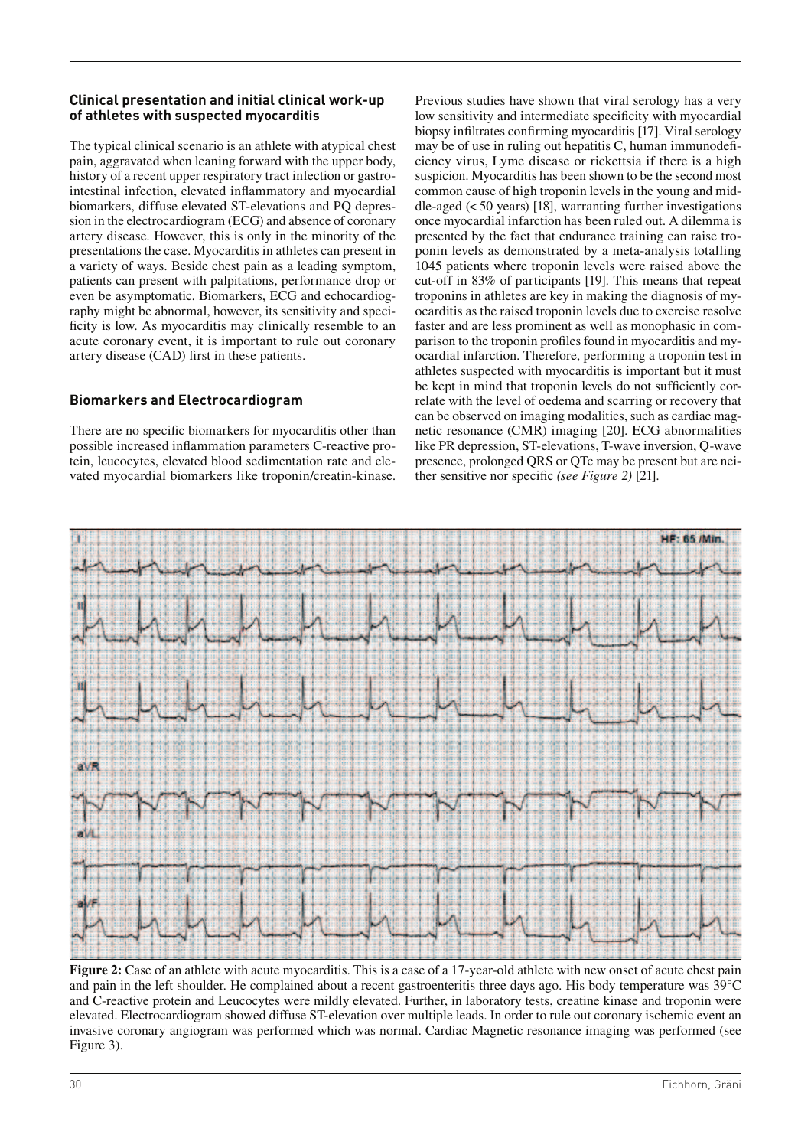# **Clinical presentation and initial clinical work-up of athletes with suspected myocarditis**

The typical clinical scenario is an athlete with atypical chest pain, aggravated when leaning forward with the upper body, history of a recent upper respiratory tract infection or gastrointestinal infection, elevated inflammatory and myocardial biomarkers, diffuse elevated ST-elevations and PQ depression in the electrocardiogram (ECG) and absence of coronary artery disease. However, this is only in the minority of the presentations the case. Myocarditis in athletes can present in a variety of ways. Beside chest pain as a leading symptom, patients can present with palpitations, performance drop or even be asymptomatic. Biomarkers, ECG and echocardiography might be abnormal, however, its sensitivity and speci ficity is low. As myocarditis may clinically resemble to an acute coronary event, it is important to rule out coronary artery disease (CAD) first in these patients.

# **Biomarkers and Electrocardiogram**

There are no specific biomarkers for myocarditis other than possible increased inflammation parameters C-reactive protein, leucocytes, elevated blood sedimentation rate and elevated myocardial biomarkers like troponin/creatin-kinase. Previous studies have shown that viral serology has a very low sensitivity and intermediate specificity with myocardial biopsy infiltrates confirming myocarditis [17]. Viral serology may be of use in ruling out hepatitis  $C$ , human immunodeficiency virus, Lyme disease or rickettsia if there is a high suspicion. Myocarditis has been shown to be the second most common cause of high troponin levels in the young and middle-aged  $( $50 \text{ years}$ )$  [18], warranting further investigations once myocardial infarction has been ruled out. A dilemma is presented by the fact that endurance training can raise troponin levels as demonstrated by a meta-analysis totalling 1045 patients where troponin levels were raised above the cut-off in 83% of participants [19]. This means that repeat troponins in athletes are key in making the diagnosis of myocarditis as the raised troponin levels due to exercise resolve faster and are less prominent as well as monophasic in comparison to the troponin profiles found in myocarditis and myocardial infarction. Therefore, performing a troponin test in athletes suspected with myocarditis is important but it must be kept in mind that troponin levels do not sufficiently correlate with the level of oedema and scarring or recovery that can be observed on imaging modalities, such as cardiac magnetic resonance (CMR) imaging [20]. ECG abnormalities like PR depression, ST-elevations, T-wave inversion, Q-wave presence, prolonged QRS or QTc may be present but are neither sensitive nor specific *(see Figure 2)* [21].



**Figure 2:** Case of an athlete with acute myocarditis. This is a case of a 17-year-old athlete with new onset of acute chest pain and pain in the left shoulder. He complained about a recent gastroenteritis three days ago. His body temperature was 39°C and C-reactive protein and Leucocytes were mildly elevated. Further, in laboratory tests, creatine kinase and troponin were elevated. Electrocardiogram showed diffuse ST-elevation over multiple leads. In order to rule out coronary ischemic event an invasive coronary angiogram was performed which was normal. Cardiac Magnetic resonance imaging was performed (see Figure 3).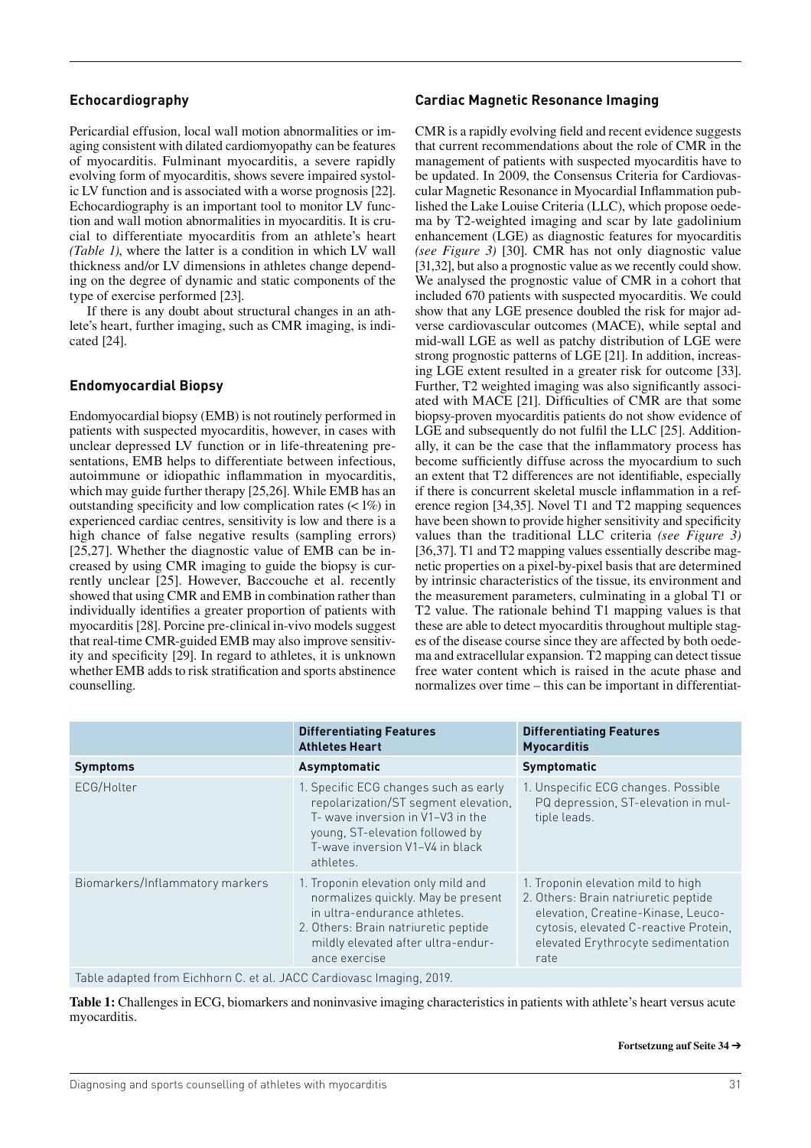#### **Echocardiography**

Pericardial effusion, local wall motion abnormalities or imaging consistent with dilated cardiomyopathy can be features of myocarditis. Fulminant myocarditis, a severe rapidly evolving form of myocarditis, shows severe impaired systolic LV function and is associated with a worse prognosis [22]. Echocardiography is an important tool to monitor LV function and wall motion abnormalities in myocarditis. It is crucial to differentiate myocarditis from an athlete's heart *(Table 1)*, where the latter is a condition in which LV wall thickness and/or LV dimensions in athletes change depending on the degree of dynamic and static components of the type of exercise performed [23].

If there is any doubt about structural changes in an athlete's heart, further imaging, such as CMR imaging, is indicated [24].

#### **Endomyocardial Biopsy**

Endomyocardial biopsy (EMB) is not routinely performed in patients with suspected myocarditis, however, in cases with unclear depressed LV function or in life-threatening presentations, EMB helps to differentiate between infectious, autoimmune or idiopathic inflammation in myocarditis, which may guide further therapy [25,26]. While EMB has an outstanding specificity and low complication rates  $($  <math>1\%) in experienced cardiac centres, sensitivity is low and there is a high chance of false negative results (sampling errors) [25,27]. Whether the diagnostic value of EMB can be increased by using CMR imaging to guide the biopsy is currently unclear [25]. However, Baccouche et al. recently showed that using CMR and EMB in combination rather than individually identifies a greater proportion of patients with myocarditis [28]. Porcine pre-clinical in-vivo models suggest that real-time CMR-guided EMB may also improve sensitivity and specificity [29]. In regard to athletes, it is unknown whether EMB adds to risk stratification and sports abstinence counselling.

#### **Cardiac Magnetic Resonance Imaging**

CMR is a rapidly evolving field and recent evidence suggests that current recommendations about the role of CMR in the management of patients with suspected myocarditis have to be updated. In 2009, the Consensus Criteria for Cardiovascular Magnetic Resonance in Myocardial Inflammation published the Lake Louise Criteria (LLC), which propose oedema by T2-weighted imaging and scar by late gadolinium enhancement (LGE) as diagnostic features for myocarditis *(see Figure 3)* [30]. CMR has not only diagnostic value [31,32], but also a prognostic value as we recently could show. We analysed the prognostic value of CMR in a cohort that included 670 patients with suspected myocarditis. We could show that any LGE presence doubled the risk for major adverse cardiovascular outcomes (MACE), while septal and mid-wall LGE as well as patchy distribution of LGE were strong prognostic patterns of LGE [21]. In addition, increasing LGE extent resulted in a greater risk for outcome [33]. Further, T2 weighted imaging was also significantly associ-ated with MACE [21]. Difficulties of CMR are that some biopsy-proven myocarditis patients do not show evidence of LGE and subsequently do not fulfil the LLC  $[25]$ . Additionally, it can be the case that the inflammatory process has become sufficiently diffuse across the myocardium to such an extent that T2 differences are not identifiable, especially if there is concurrent skeletal muscle inflammation in a reference region [34,35]. Novel T1 and T2 mapping sequences have been shown to provide higher sensitivity and specificity values than the traditional LLC criteria *(see Figure 3)* [36,37]. T1 and T2 mapping values essentially describe magnetic properties on a pixel-by-pixel basis that are determined by intrinsic characteristics of the tissue, its environment and the measurement parameters, culminating in a global T1 or T2 value. The rationale behind T1 mapping values is that these are able to detect myocarditis throughout multiple stages of the disease course since they are affected by both oedema and extracellular expansion. T2 mapping can detect tissue free water content which is raised in the acute phase and normalizes over time – this can be important in differentiat-

|                                                                      | <b>Differentiating Features</b><br><b>Athletes Heart</b>                                                                                                                                                 | <b>Differentiating Features</b><br><b>Myocarditis</b>                                                                                                                                                   |
|----------------------------------------------------------------------|----------------------------------------------------------------------------------------------------------------------------------------------------------------------------------------------------------|---------------------------------------------------------------------------------------------------------------------------------------------------------------------------------------------------------|
| <b>Symptoms</b>                                                      | Asymptomatic                                                                                                                                                                                             | Symptomatic                                                                                                                                                                                             |
| ECG/Holter                                                           | 1. Specific ECG changes such as early<br>repolarization/ST segment elevation,<br>T- wave inversion in V1-V3 in the<br>young, ST-elevation followed by<br>T-wave inversion V1-V4 in black<br>athletes.    | 1. Unspecific ECG changes. Possible<br>PQ depression, ST-elevation in mul-<br>tiple leads.                                                                                                              |
| Biomarkers/Inflammatory markers                                      | 1. Troponin elevation only mild and<br>normalizes quickly. May be present<br>in ultra-endurance athletes.<br>2. Others: Brain natriuretic peptide<br>mildly elevated after ultra-endur-<br>ance exercise | 1. Troponin elevation mild to high<br>2. Others: Brain natriuretic peptide<br>elevation, Creatine-Kinase, Leuco-<br>cytosis, elevated C-reactive Protein,<br>elevated Erythrocyte sedimentation<br>rate |
| Table adapted from Eichhorn C. et al. JACC Cardiovasc Imaging, 2019. |                                                                                                                                                                                                          |                                                                                                                                                                                                         |

**Table 1:** Challenges in ECG, biomarkers and noninvasive imaging characteristics in patients with athlete's heart versus acute myocarditis.

#### **Fortsetzung auf Seite 34** £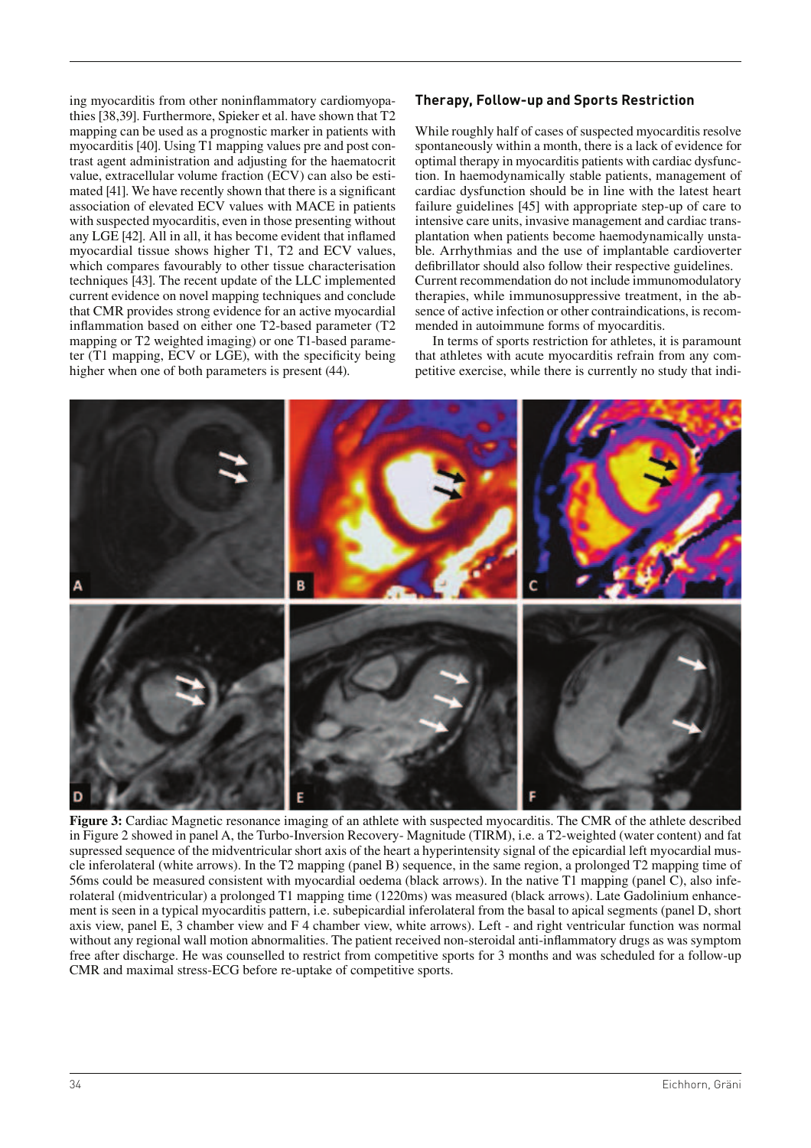ing myocarditis from other noninflammatory cardiomyopathies [38,39]. Furthermore, Spieker et al. have shown that T2 mapping can be used as a prognostic marker in patients with myocarditis [40]. Using T1 mapping values pre and post contrast agent administration and adjusting for the haematocrit value, extracellular volume fraction (ECV) can also be estimated [41]. We have recently shown that there is a significant association of elevated ECV values with MACE in patients with suspected myocarditis, even in those presenting without any LGE  $[42]$ . All in all, it has become evident that inflamed myocardial tissue shows higher T1, T2 and ECV values, which compares favourably to other tissue characterisation techniques [43]. The recent update of the LLC implemented current evidence on novel mapping techniques and conclude that CMR provides strong evidence for an active myocardial inflammation based on either one T2-based parameter  $(T2)$ mapping or T2 weighted imaging) or one T1-based parameter  $(T1)$  mapping,  $ECV$  or  $LGE$ ), with the specificity being higher when one of both parameters is present (44).

# **Therapy, Follow-up and Sports Restriction**

While roughly half of cases of suspected myocarditis resolve spontaneously within a month, there is a lack of evidence for optimal therapy in myocarditis patients with cardiac dysfunction. In haemodynamically stable patients, management of cardiac dysfunction should be in line with the latest heart failure guidelines [45] with appropriate step-up of care to intensive care units, invasive management and cardiac transplantation when patients become haemodynamically unstable. Arrhythmias and the use of implantable cardioverter defibrillator should also follow their respective guidelines. Current recommendation do not include immunomodulatory therapies, while immunosuppressive treatment, in the absence of active infection or other contraindications, is recommended in autoimmune forms of myocarditis.

In terms of sports restriction for athletes, it is paramount that athletes with acute myocarditis refrain from any competitive exercise, while there is currently no study that indi-



**Figure 3:** Cardiac Magnetic resonance imaging of an athlete with suspected myocarditis. The CMR of the athlete described in Figure 2 showed in panel A, the Turbo-Inversion Recovery- Magnitude (TIRM), i.e. a T2-weighted (water content) and fat supressed sequence of the midventricular short axis of the heart a hyperintensity signal of the epicardial left myocardial muscle inferolateral (white arrows). In the T2 mapping (panel B) sequence, in the same region, a prolonged T2 mapping time of 56ms could be measured consistent with myocardial oedema (black arrows). In the native T1 mapping (panel C), also inferolateral (midventricular) a prolonged T1 mapping time (1220ms) was measured (black arrows). Late Gadolinium enhancement is seen in a typical myocarditis pattern, i.e. subepicardial inferolateral from the basal to apical segments (panel D, short axis view, panel E, 3 chamber view and F 4 chamber view, white arrows). Left - and right ventricular function was normal without any regional wall motion abnormalities. The patient received non-steroidal anti-inflammatory drugs as was symptom free after discharge. He was counselled to restrict from competitive sports for 3 months and was scheduled for a follow-up CMR and maximal stress-ECG before re-uptake of competitive sports.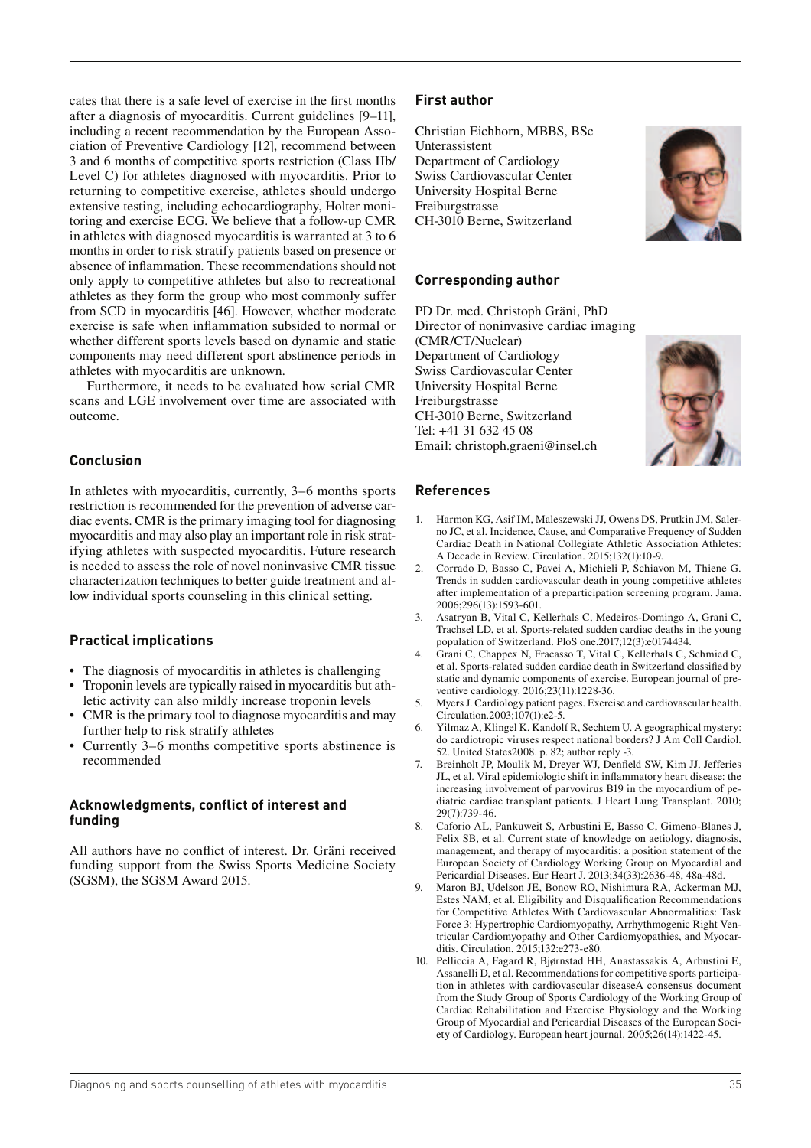cates that there is a safe level of exercise in the first months after a diagnosis of myocarditis. Current guidelines [9–11], including a recent recommendation by the European Association of Preventive Cardiology [12], recommend between 3 and 6 months of competitive sports restriction (Class IIb/ Level C) for athletes diagnosed with myocarditis. Prior to returning to competitive exercise, athletes should undergo extensive testing, including echocardiography, Holter monitoring and exercise ECG. We believe that a follow-up CMR in athletes with diagnosed myocarditis is warranted at 3 to 6 months in order to risk stratify patients based on presence or absence of inflammation. These recommendations should not only apply to competitive athletes but also to recreational athletes as they form the group who most commonly suffer from SCD in myocarditis [46]. However, whether moderate exercise is safe when inflammation subsided to normal or whether different sports levels based on dynamic and static components may need different sport abstinence periods in athletes with myocarditis are unknown.

Furthermore, it needs to be evaluated how serial CMR scans and LGE involvement over time are associated with outcome.

#### **Conclusion**

In athletes with myocarditis, currently, 3–6 months sports restriction is recommended for the prevention of adverse cardiac events. CMR is the primary imaging tool for diagnosing myocarditis and may also play an important role in risk stratifying athletes with suspected myocarditis. Future research is needed to assess the role of novel noninvasive CMR tissue characterization techniques to better guide treatment and allow individual sports counseling in this clinical setting.

#### **Practical implications**

- The diagnosis of myocarditis in athletes is challenging
- Troponin levels are typically raised in myocarditis but athletic activity can also mildly increase troponin levels
- CMR is the primary tool to diagnose myocarditis and may further help to risk stratify athletes
- Currently 3–6 months competitive sports abstinence is recommended

#### **Acknowledgments, conflict of interest and funding**

All authors have no conflict of interest. Dr. Gräni received funding support from the Swiss Sports Medicine Society (SGSM), the SGSM Award 2015.

#### **First author**

Christian Eichhorn, MBBS, BSc Unterassistent Department of Cardiology Swiss Cardiovascular Center University Hospital Berne Freiburgstrasse CH-3010 Berne, Switzerland

#### **Corresponding author**

PD Dr. med. Christoph Gräni, PhD Director of noninvasive cardiac imaging (CMR/CT/Nuclear) Department of Cardiology Swiss Cardiovascular Center University Hospital Berne Freiburgstrasse CH-3010 Berne, Switzerland Tel: +41 31 632 45 08 Email: christoph.graeni@insel.ch



#### **References**

- 1. Harmon KG, Asif IM, Maleszewski JJ, Owens DS, Prutkin JM, Salerno JC, et al. Incidence, Cause, and Comparative Frequency of Sudden Cardiac Death in National Collegiate Athletic Association Athletes: A Decade in Review. Circulation. 2015;132(1):10-9.
- 2. Corrado D, Basso C, Pavei A, Michieli P, Schiavon M, Thiene G. Trends in sudden cardiovascular death in young competitive athletes after implementation of a preparticipation screening program. Jama. 2006;296(13):1593-601.
- 3. Asatryan B, Vital C, Kellerhals C, Medeiros-Domingo A, Grani C, Trachsel LD, et al. Sports-related sudden cardiac deaths in the young population of Switzerland. PloS one.2017;12(3):e0174434.
- 4. Grani C, Chappex N, Fracasso T, Vital C, Kellerhals C, Schmied C, et al. Sports-related sudden cardiac death in Switzerland classified by static and dynamic components of exercise. European journal of preventive cardiology. 2016;23(11):1228-36.
- 5. Myers J. Cardiology patient pages. Exercise and cardiovascular health. Circulation.2003;107(1):e2-5.
- 6. Yilmaz A, Klingel K, Kandolf R, Sechtem U. A geographical mystery: do cardiotropic viruses respect national borders? J Am Coll Cardiol. 52. United States2008. p. 82; author reply -3.
- 7. Breinholt JP, Moulik M, Dreyer WJ, Denfield SW, Kim JJ, Jefferies JL, et al. Viral epidemiologic shift in inflammatory heart disease: the increasing involvement of parvovirus B19 in the myocardium of pediatric cardiac transplant patients. J Heart Lung Transplant. 2010; 29(7):739-46.
- 8. Caforio AL, Pankuweit S, Arbustini E, Basso C, Gimeno-Blanes J, Felix SB, et al. Current state of knowledge on aetiology, diagnosis, management, and therapy of myocarditis: a position statement of the European Society of Cardiology Working Group on Myocardial and Pericardial Diseases. Eur Heart J. 2013;34(33):2636-48, 48a-48d.
- 9. Maron BJ, Udelson JE, Bonow RO, Nishimura RA, Ackerman MJ, Estes NAM, et al. Eligibility and Disqualification Recommendations for Competitive Athletes With Cardiovascular Abnormalities: Task Force 3: Hypertrophic Cardiomyopathy, Arrhythmogenic Right Ventricular Cardiomyopathy and Other Cardiomyopathies, and Myocarditis. Circulation. 2015;132:e273-e80.
- 10. Pelliccia A, Fagard R, Bjørnstad HH, Anastassakis A, Arbustini E, Assanelli D, et al. Recommendations for competitive sports participation in athletes with cardiovascular diseaseA consensus document from the Study Group of Sports Cardiology of the Working Group of Cardiac Rehabilitation and Exercise Physiology and the Working Group of Myocardial and Pericardial Diseases of the European Society of Cardiology. European heart journal. 2005;26(14):1422-45.